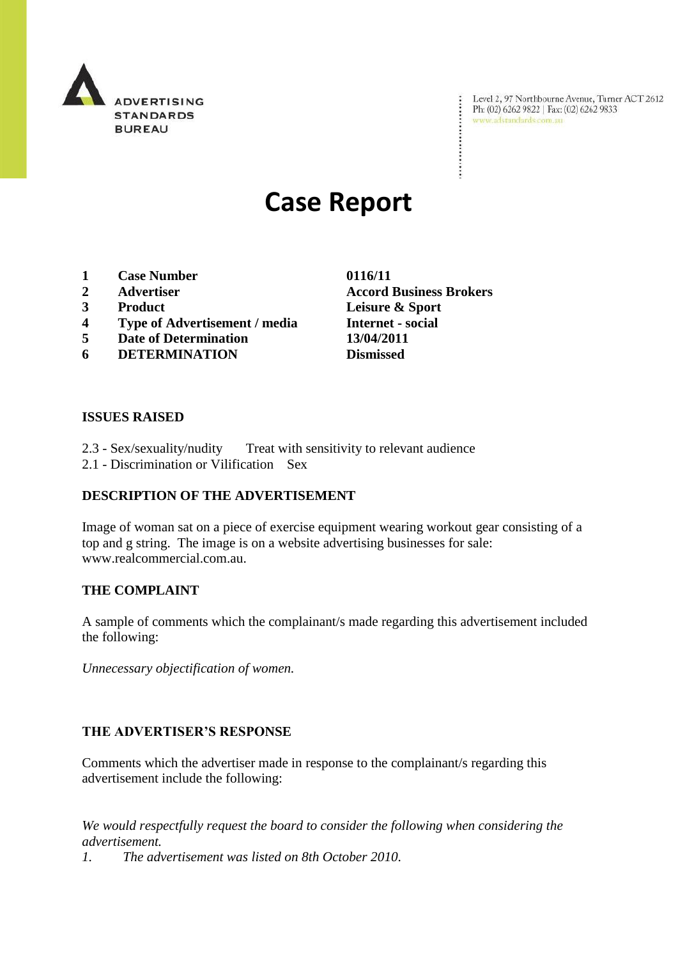

Level 2, 97 Northbourne Avenue, Turner ACT 2612<br>Ph: (02) 6262 9822 | Fax: (02) 6262 9833<br>www.adstandards.com.au

# **Case Report**

- **1 Case Number 0116/11**
- **2 Advertiser Accord Business Brokers**
- 
- **4 Type of Advertisement / media Internet - social**
- **5 Date of Determination 13/04/2011**
- **6 DETERMINATION Dismissed**

**3 Product Leisure & Sport**

÷

#### **ISSUES RAISED**

- 2.3 Sex/sexuality/nudity Treat with sensitivity to relevant audience
- 2.1 Discrimination or Vilification Sex

# **DESCRIPTION OF THE ADVERTISEMENT**

Image of woman sat on a piece of exercise equipment wearing workout gear consisting of a top and g string. The image is on a website advertising businesses for sale: www.realcommercial.com.au.

### **THE COMPLAINT**

A sample of comments which the complainant/s made regarding this advertisement included the following:

*Unnecessary objectification of women.*

### **THE ADVERTISER'S RESPONSE**

Comments which the advertiser made in response to the complainant/s regarding this advertisement include the following:

*We would respectfully request the board to consider the following when considering the advertisement.*

*1. The advertisement was listed on 8th October 2010.*